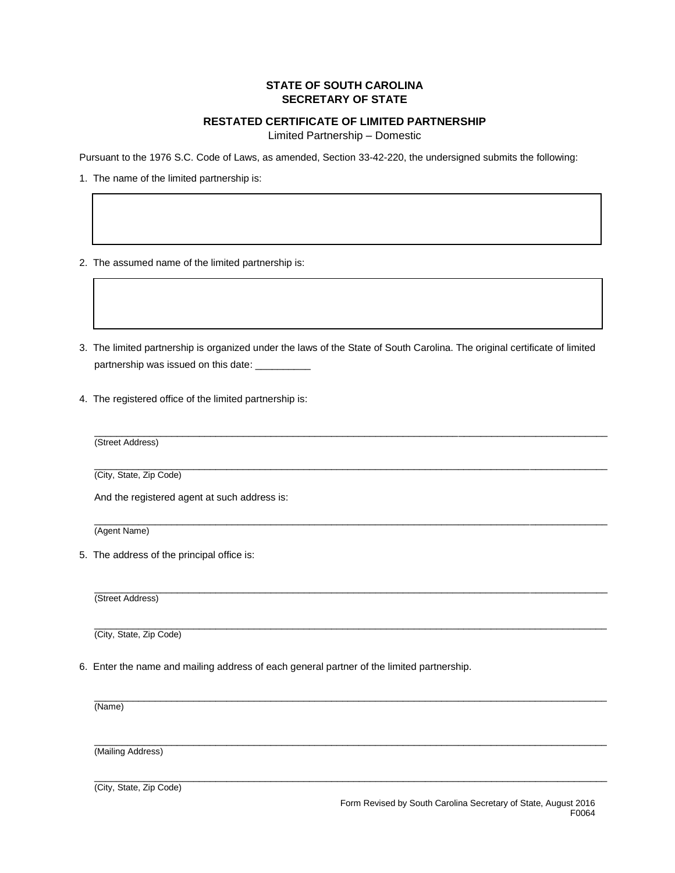## **STATE OF SOUTH CAROLINA SECRETARY OF STATE**

## **RESTATED CERTIFICATE OF LIMITED PARTNERSHIP**

Limited Partnership – Domestic

Pursuant to the 1976 S.C. Code of Laws, as amended, Section 33-42-220, the undersigned submits the following:

1. The name of the limited partnership is:

- 2. The assumed name of the limited partnership is:
- 3. The limited partnership is organized under the laws of the State of South Carolina. The original certificate of limited partnership was issued on this date:

\_\_\_\_\_\_\_\_\_\_\_\_\_\_\_\_\_\_\_\_\_\_\_\_\_\_\_\_\_\_\_\_\_\_\_\_\_\_\_\_\_\_\_\_\_\_\_\_\_\_\_\_\_\_\_\_\_\_\_\_\_\_\_\_\_\_\_\_\_\_\_\_\_\_\_\_\_\_\_\_\_\_\_\_\_\_\_\_\_\_\_\_\_

 $\_$  ,  $\_$  ,  $\_$  ,  $\_$  ,  $\_$  ,  $\_$  ,  $\_$  ,  $\_$  ,  $\_$  ,  $\_$  ,  $\_$  ,  $\_$  ,  $\_$  ,  $\_$  ,  $\_$  ,  $\_$  ,  $\_$  ,  $\_$  ,  $\_$  ,  $\_$  ,  $\_$  ,  $\_$  ,  $\_$  ,  $\_$  ,  $\_$  ,  $\_$  ,  $\_$  ,  $\_$  ,  $\_$  ,  $\_$  ,  $\_$  ,  $\_$  ,  $\_$  ,  $\_$  ,  $\_$  ,  $\_$  ,  $\_$  ,

 $\overline{a}$  , and the state of the state of the state of the state of the state of the state of the state of the state of the state of the state of the state of the state of the state of the state of the state of the state o

4. The registered office of the limited partnership is:

(Street Address)

 $\overline{a}$  , and the state of the state of the state of the state of the state of the state of the state of the state of the state of the state of the state of the state of the state of the state of the state of the state o (City, State, Zip Code)

And the registered agent at such address is:

 $\overline{a}$  , and the state of the state of the state of the state of the state of the state of the state of the state of the state of the state of the state of the state of the state of the state of the state of the state o (Agent Name)

5. The address of the principal office is:

(Street Address)

 $\overline{a}$  , and the state of the state of the state of the state of the state of the state of the state of the state of the state of the state of the state of the state of the state of the state of the state of the state o (City, State, Zip Code)

6. Enter the name and mailing address of each general partner of the limited partnership.

(Name)

 $\overline{a}$  , and the state of the state of the state of the state of the state of the state of the state of the state of the state of the state of the state of the state of the state of the state of the state of the state o (Mailing Address)

 $\overline{a}$  , and the contribution of the contribution of the contribution of the contribution of the contribution of the contribution of the contribution of the contribution of the contribution of the contribution of the co (City, State, Zip Code)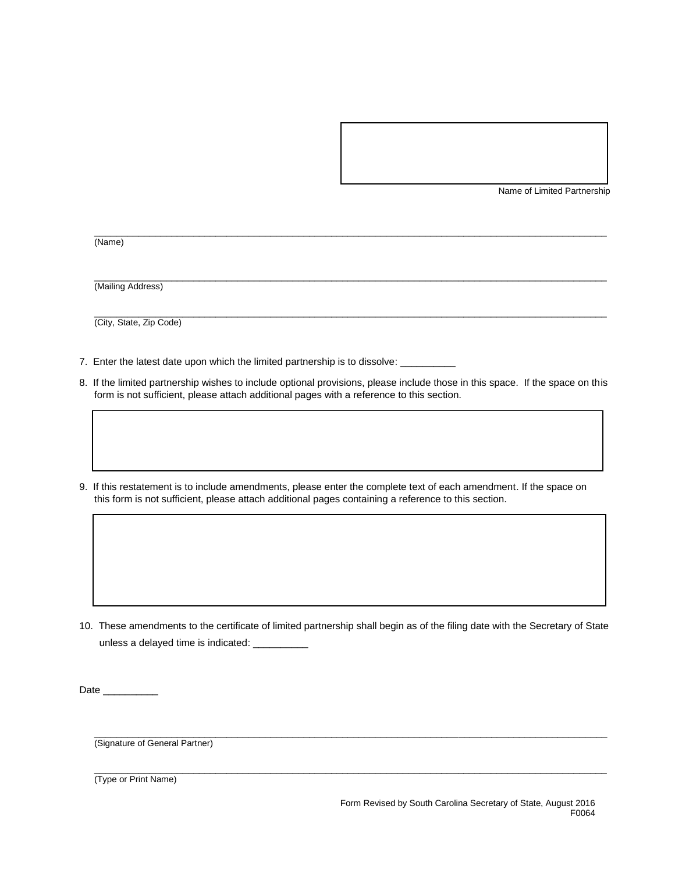Name of Limited Partnership

 $\overline{a}$  , and the state of the state of the state of the state of the state of the state of the state of the state of the state of the state of the state of the state of the state of the state of the state of the state o (Name)

(Mailing Address)

(City, State, Zip Code)

- 7. Enter the latest date upon which the limited partnership is to dissolve: \_\_\_\_
- 8. If the limited partnership wishes to include optional provisions, please include those in this space. If the space on this form is not sufficient, please attach additional pages with a reference to this section.

 $\overline{a}$  , and the state of the state of the state of the state of the state of the state of the state of the state of the state of the state of the state of the state of the state of the state of the state of the state o

 $\overline{a}$  , and the state of the state of the state of the state of the state of the state of the state of the state of the state of the state of the state of the state of the state of the state of the state of the state o

9. If this restatement is to include amendments, please enter the complete text of each amendment. If the space on this form is not sufficient, please attach additional pages containing a reference to this section.

10. These amendments to the certificate of limited partnership shall begin as of the filing date with the Secretary of State unless a delayed time is indicated:

 $\overline{a}$  , and the state of the state of the state of the state of the state of the state of the state of the state of the state of the state of the state of the state of the state of the state of the state of the state o

 $\overline{a}$  , and the state of the state of the state of the state of the state of the state of the state of the state of the state of the state of the state of the state of the state of the state of the state of the state o

Date \_\_\_\_\_\_\_\_\_\_\_\_

(Signature of General Partner)

(Type or Print Name)